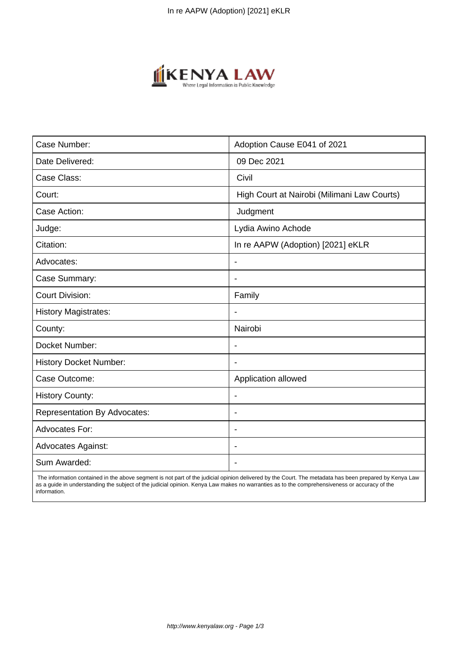

| Case Number:                        | Adoption Cause E041 of 2021                 |
|-------------------------------------|---------------------------------------------|
| Date Delivered:                     | 09 Dec 2021                                 |
| Case Class:                         | Civil                                       |
| Court:                              | High Court at Nairobi (Milimani Law Courts) |
| Case Action:                        | Judgment                                    |
| Judge:                              | Lydia Awino Achode                          |
| Citation:                           | In re AAPW (Adoption) [2021] eKLR           |
| Advocates:                          | $\overline{\phantom{a}}$                    |
| Case Summary:                       | $\blacksquare$                              |
| <b>Court Division:</b>              | Family                                      |
| <b>History Magistrates:</b>         |                                             |
| County:                             | Nairobi                                     |
| Docket Number:                      |                                             |
| <b>History Docket Number:</b>       |                                             |
| Case Outcome:                       | Application allowed                         |
| <b>History County:</b>              | $\blacksquare$                              |
| <b>Representation By Advocates:</b> | $\overline{\phantom{a}}$                    |
| Advocates For:                      | $\blacksquare$                              |
| <b>Advocates Against:</b>           | $\blacksquare$                              |
| Sum Awarded:                        |                                             |

 The information contained in the above segment is not part of the judicial opinion delivered by the Court. The metadata has been prepared by Kenya Law as a guide in understanding the subject of the judicial opinion. Kenya Law makes no warranties as to the comprehensiveness or accuracy of the information.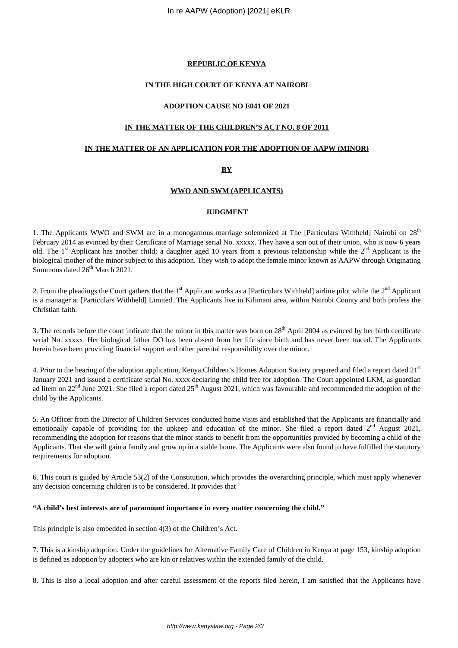### **REPUBLIC OF KENYA**

#### **IN THE HIGH COURT OF KENYA AT NAIROBI**

#### **ADOPTION CAUSE NO E041 OF 2021**

#### **IN THE MATTER OF THE CHILDREN'S ACT NO. 8 OF 2011**

# **IN THE MATTER OF AN APPLICATION FOR THE ADOPTION OF AAPW (MINOR)**

#### **BY**

#### **WWO AND SWM (APPLICANTS)**

#### **JUDGMENT**

1. The Applicants WWO and SWM are in a monogamous marriage solemnized at The [Particulars Withheld] Nairobi on 28<sup>th</sup> February 2014 as evinced by their Certificate of Marriage serial No. xxxxx. They have a son out of their union, who is now 6 years old. The 1<sup>st</sup> Applicant has another child; a daughter aged 10 years from a previous relationship while the  $2<sup>nd</sup>$  Applicant is the biological mother of the minor subject to this adoption. They wish to adopt the female minor known as AAPW through Originating Summons dated 26<sup>th</sup> March 2021.

2. From the pleadings the Court gathers that the 1<sup>st</sup> Applicant works as a [Particulars Withheld] airline pilot while the  $2<sup>nd</sup>$  Applicant is a manager at [Particulars Withheld] Limited. The Applicants live in Kilimani area, within Nairobi County and both profess the Christian faith.

3. The records before the court indicate that the minor in this matter was born on  $28<sup>th</sup>$  April 2004 as evinced by her birth certificate serial No. xxxxx. Her biological father DO has been absent from her life since birth and has never been traced. The Applicants herein have been providing financial support and other parental responsibility over the minor.

4. Prior to the hearing of the adoption application, Kenya Children's Homes Adoption Society prepared and filed a report dated 21st January 2021 and issued a certificate serial No. xxxx declaring the child free for adoption. The Court appointed LKM, as guardian ad litem on 22<sup>nd</sup> June 2021. She filed a report dated 25<sup>th</sup> August 2021, which was favourable and recommended the adoption of the child by the Applicants.

5. An Officer from the Director of Children Services conducted home visits and established that the Applicants are financially and emotionally capable of providing for the upkeep and education of the minor. She filed a report dated  $2<sup>nd</sup>$  August 2021, recommending the adoption for reasons that the minor stands to benefit from the opportunities provided by becoming a child of the Applicants. That she will gain a family and grow up in a stable home. The Applicants were also found to have fulfilled the statutory requirements for adoption.

6. This court is guided by Article 53(2) of the Constitution, which provides the overarching principle, which must apply whenever any decision concerning children is to be considered. It provides that

#### **"A child's best interests are of paramount importance in every matter concerning the child."**

This principle is also embedded in section 4(3) of the Children's Act.

7. This is a kinship adoption. Under the guidelines for Alternative Family Care of Children in Kenya at page 153, kinship adoption is defined as adoption by adopters who are kin or relatives within the extended family of the child.

8. This is also a local adoption and after careful assessment of the reports filed herein, I am satisfied that the Applicants have